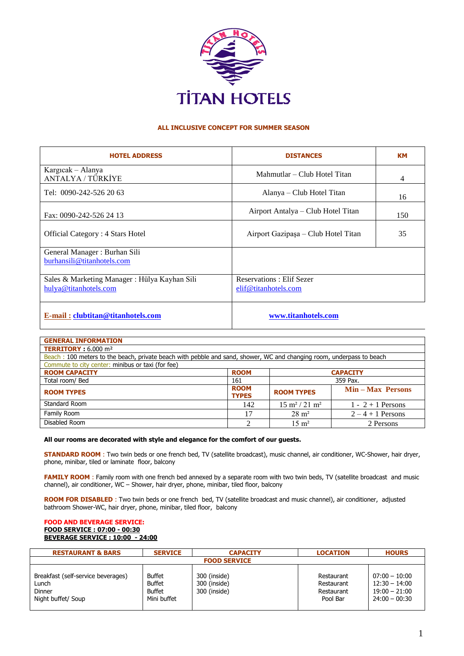

## **ALL INCLUSIVE CONCEPT FOR SUMMER SEASON**

| <b>HOTEL ADDRESS</b>                                                  | <b>DISTANCES</b>                                 | <b>KM</b> |
|-----------------------------------------------------------------------|--------------------------------------------------|-----------|
| Kargıcak – Alanya<br>ANTALYA / TÜRKİYE                                | Mahmutlar – Club Hotel Titan                     | 4         |
| Tel: 0090-242-526 20 63                                               | Alanya – Club Hotel Titan                        | 16        |
| Fax: 0090-242-526 24 13                                               | Airport Antalya - Club Hotel Titan               | 150       |
| <b>Official Category: 4 Stars Hotel</b>                               | Airport Gazipaşa - Club Hotel Titan              | 35        |
| General Manager : Burhan Sili<br>burhansili@titanhotels.com           |                                                  |           |
| Sales & Marketing Manager: Hülya Kayhan Sili<br>hulya@titanhotels.com | Reservations: Elif Sezer<br>elif@titanhotels.com |           |
| <u>E-mail: clubtitan@titanhotels.com</u>                              | www.titanhotels.com                              |           |

| <b>GENERAL INFORMATION</b>                                                                                           |                             |                                   |                     |  |
|----------------------------------------------------------------------------------------------------------------------|-----------------------------|-----------------------------------|---------------------|--|
| <b>TERRITORY</b> : $6.000 \text{ m}^2$                                                                               |                             |                                   |                     |  |
| Beach: 100 meters to the beach, private beach with pebble and sand, shower, WC and changing room, underpass to beach |                             |                                   |                     |  |
| Commute to city center: minibus or taxi (for fee)                                                                    |                             |                                   |                     |  |
| <b>ROOM CAPACITY</b>                                                                                                 | <b>ROOM</b>                 | <b>CAPACITY</b>                   |                     |  |
| Total room/ Bed                                                                                                      | 161                         | 359 Pax.                          |                     |  |
| <b>ROOM TYPES</b>                                                                                                    | <b>ROOM</b><br><b>TYPES</b> | <b>ROOM TYPES</b>                 | Min – Max Persons   |  |
| Standard Room                                                                                                        | 142                         | $15 \text{ m}^2 / 21 \text{ m}^2$ | $1 - 2 + 1$ Persons |  |
| Family Room                                                                                                          | 17                          | $28 \text{ m}^2$                  | $2-4+1$ Persons     |  |
| Disabled Room                                                                                                        | ↑                           | $15 \text{ m}^2$                  | 2 Persons           |  |

## **All our rooms are decorated with style and elegance for the comfort of our guests.**

**STANDARD ROOM** : Two twin beds or one french bed, TV (satellite broadcast), music channel, air conditioner, WC-Shower, hair dryer, phone, minibar, tiled or laminate floor, balcony

**FAMILY ROOM** : Family room with one french bed annexed by a separate room with two twin beds, TV (satellite broadcast and music channel), air conditioner, WC – Shower, hair dryer, phone, minibar, tiled floor, balcony

**ROOM FOR DISABLED** : Two twin beds or one french bed, TV (satellite broadcast and music channel), air conditioner, adjusted bathroom Shower-WC, hair dryer, phone, minibar, tiled floor, balcony

## **FOOD AND BEVERAGE SERVICE: FOOD SERVICE : 07:00 - 00:30 BEVERAGE SERVICE : 10:00 - 24:00**

| <b>RESTAURANT &amp; BARS</b>                                                       | <b>SERVICE</b>                                          | <b>CAPACITY</b>                              | <b>LOCATION</b>                                    | <b>HOURS</b>                                                             |
|------------------------------------------------------------------------------------|---------------------------------------------------------|----------------------------------------------|----------------------------------------------------|--------------------------------------------------------------------------|
| <b>FOOD SERVICE</b>                                                                |                                                         |                                              |                                                    |                                                                          |
| Breakfast (self-service beverages)<br>Lunch<br><b>Dinner</b><br>Night buffet/ Soup | Buffet<br><b>Buffet</b><br><b>Buffet</b><br>Mini buffet | 300 (inside)<br>300 (inside)<br>300 (inside) | Restaurant<br>Restaurant<br>Restaurant<br>Pool Bar | $07:00 - 10:00$<br>$12:30 - 14:00$<br>$19:00 - 21:00$<br>$24:00 - 00:30$ |